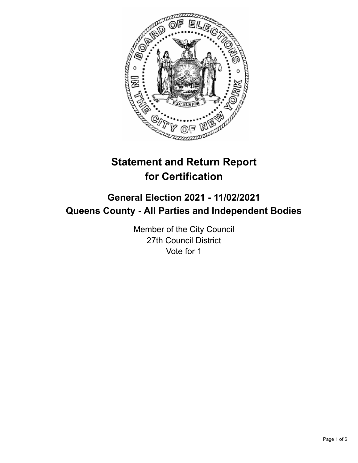

# **Statement and Return Report for Certification**

## **General Election 2021 - 11/02/2021 Queens County - All Parties and Independent Bodies**

Member of the City Council 27th Council District Vote for 1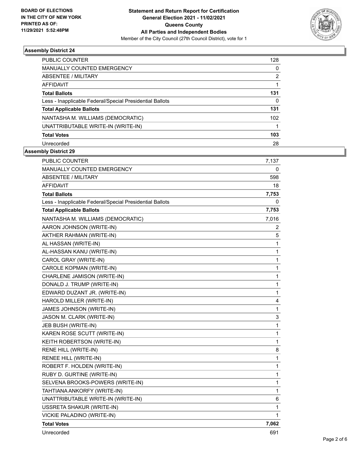

### **Assembly District 24**

| <b>PUBLIC COUNTER</b>                                    | 128 |
|----------------------------------------------------------|-----|
| <b>MANUALLY COUNTED EMERGENCY</b>                        | 0   |
| ABSENTEE / MILITARY                                      | 2   |
| AFFIDAVIT                                                |     |
| <b>Total Ballots</b>                                     | 131 |
| Less - Inapplicable Federal/Special Presidential Ballots | 0   |
| <b>Total Applicable Ballots</b>                          | 131 |
| NANTASHA M. WILLIAMS (DEMOCRATIC)                        | 102 |
| UNATTRIBUTABLE WRITE-IN (WRITE-IN)                       |     |
| <b>Total Votes</b>                                       | 103 |
| Unrecorded                                               | 28  |

### **Assembly District 29**

| <b>PUBLIC COUNTER</b>                                    | 7,137        |
|----------------------------------------------------------|--------------|
| MANUALLY COUNTED EMERGENCY                               | 0            |
| <b>ABSENTEE / MILITARY</b>                               | 598          |
| <b>AFFIDAVIT</b>                                         | 18           |
| <b>Total Ballots</b>                                     | 7,753        |
| Less - Inapplicable Federal/Special Presidential Ballots | 0            |
| <b>Total Applicable Ballots</b>                          | 7,753        |
| NANTASHA M. WILLIAMS (DEMOCRATIC)                        | 7,016        |
| AARON JOHNSON (WRITE-IN)                                 | 2            |
| AKTHER RAHMAN (WRITE-IN)                                 | 5            |
| AL HASSAN (WRITE-IN)                                     | 1            |
| AL-HASSAN KANU (WRITE-IN)                                | $\mathbf 1$  |
| CAROL GRAY (WRITE-IN)                                    | 1            |
| CAROLE KOPMAN (WRITE-IN)                                 | 1            |
| CHARLENE JAMISON (WRITE-IN)                              | $\mathbf{1}$ |
| DONALD J. TRUMP (WRITE-IN)                               | $\mathbf 1$  |
| EDWARD DUZANT JR. (WRITE-IN)                             | $\mathbf 1$  |
| HAROLD MILLER (WRITE-IN)                                 | 4            |
| JAMES JOHNSON (WRITE-IN)                                 | 1            |
| JASON M. CLARK (WRITE-IN)                                | 3            |
| JEB BUSH (WRITE-IN)                                      | 1            |
| KAREN ROSE SCUTT (WRITE-IN)                              | 1            |
| KEITH ROBERTSON (WRITE-IN)                               | 1            |
| RENE HILL (WRITE-IN)                                     | 8            |
| RENEE HILL (WRITE-IN)                                    | 1            |
| ROBERT F. HOLDEN (WRITE-IN)                              | $\mathbf 1$  |
| RUBY D. GURTINE (WRITE-IN)                               | $\mathbf{1}$ |
| SELVENA BROOKS-POWERS (WRITE-IN)                         | 1            |
| TAHTIANA ANKORFY (WRITE-IN)                              | 1            |
| UNATTRIBUTABLE WRITE-IN (WRITE-IN)                       | 6            |
| USSRETA SHAKUR (WRITE-IN)                                | 1            |
| VICKIE PALADINO (WRITE-IN)                               | 1            |
| <b>Total Votes</b>                                       | 7,062        |
| Unrecorded                                               | 691          |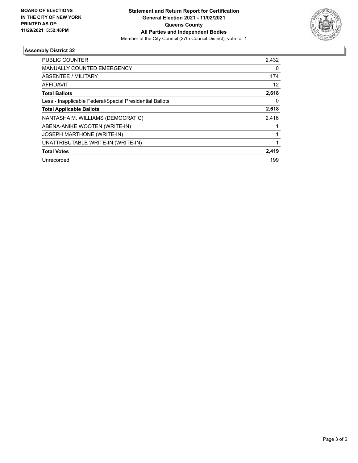

### **Assembly District 32**

| PUBLIC COUNTER                                           | 2,432    |
|----------------------------------------------------------|----------|
| <b>MANUALLY COUNTED EMERGENCY</b>                        | $\Omega$ |
| ABSENTEE / MILITARY                                      | 174      |
| <b>AFFIDAVIT</b>                                         | 12       |
| <b>Total Ballots</b>                                     | 2,618    |
| Less - Inapplicable Federal/Special Presidential Ballots | 0        |
| <b>Total Applicable Ballots</b>                          | 2,618    |
| NANTASHA M. WILLIAMS (DEMOCRATIC)                        | 2,416    |
| ABENA-ANIKE WOOTEN (WRITE-IN)                            |          |
| <b>JOSEPH MARTHONE (WRITE-IN)</b>                        |          |
| UNATTRIBUTABLE WRITE-IN (WRITE-IN)                       | 1        |
| <b>Total Votes</b>                                       | 2,419    |
| Unrecorded                                               | 199      |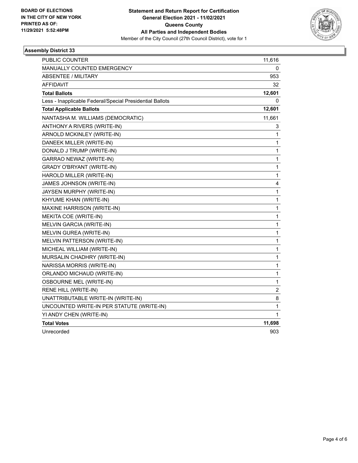

### **Assembly District 33**

| PUBLIC COUNTER                                           | 11,616       |
|----------------------------------------------------------|--------------|
| MANUALLY COUNTED EMERGENCY                               | 0            |
| <b>ABSENTEE / MILITARY</b>                               | 953          |
| AFFIDAVIT                                                | 32           |
| <b>Total Ballots</b>                                     | 12,601       |
| Less - Inapplicable Federal/Special Presidential Ballots | 0            |
| <b>Total Applicable Ballots</b>                          | 12,601       |
| NANTASHA M. WILLIAMS (DEMOCRATIC)                        | 11,661       |
| ANTHONY A RIVERS (WRITE-IN)                              | 3            |
| ARNOLD MCKINLEY (WRITE-IN)                               | 1            |
| DANEEK MILLER (WRITE-IN)                                 | 1            |
| DONALD J TRUMP (WRITE-IN)                                | 1            |
| GARRAO NEWAZ (WRITE-IN)                                  | 1            |
| <b>GRADY O'BRYANT (WRITE-IN)</b>                         | 1            |
| HAROLD MILLER (WRITE-IN)                                 | $\mathbf{1}$ |
| JAMES JOHNSON (WRITE-IN)                                 | 4            |
| JAYSEN MURPHY (WRITE-IN)                                 | 1            |
| KHYUME KHAN (WRITE-IN)                                   | 1            |
| MAXINE HARRISON (WRITE-IN)                               | $\mathbf{1}$ |
| MEKITA COE (WRITE-IN)                                    | $\mathbf{1}$ |
| MELVIN GARCIA (WRITE-IN)                                 | 1            |
| MELVIN GUREA (WRITE-IN)                                  | 1            |
| MELVIN PATTERSON (WRITE-IN)                              | $\mathbf{1}$ |
| MICHEAL WILLIAM (WRITE-IN)                               | $\mathbf{1}$ |
| MURSALIN CHADHRY (WRITE-IN)                              | 1            |
| NARISSA MORRIS (WRITE-IN)                                | $\mathbf{1}$ |
| ORLANDO MICHAUD (WRITE-IN)                               | $\mathbf{1}$ |
| <b>OSBOURNE MEL (WRITE-IN)</b>                           | 1            |
| RENE HILL (WRITE-IN)                                     | 2            |
| UNATTRIBUTABLE WRITE-IN (WRITE-IN)                       | 8            |
| UNCOUNTED WRITE-IN PER STATUTE (WRITE-IN)                | $\mathbf{1}$ |
| YI ANDY CHEN (WRITE-IN)                                  | 1            |
| <b>Total Votes</b>                                       | 11,698       |
| Unrecorded                                               | 903          |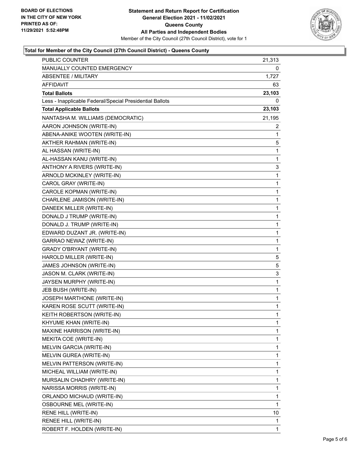

### **Total for Member of the City Council (27th Council District) - Queens County**

| PUBLIC COUNTER                                           | 21,313 |
|----------------------------------------------------------|--------|
| MANUALLY COUNTED EMERGENCY                               | 0      |
| <b>ABSENTEE / MILITARY</b>                               | 1,727  |
| AFFIDAVIT                                                | 63     |
| <b>Total Ballots</b>                                     | 23,103 |
| Less - Inapplicable Federal/Special Presidential Ballots | 0      |
| <b>Total Applicable Ballots</b>                          | 23,103 |
| NANTASHA M. WILLIAMS (DEMOCRATIC)                        | 21,195 |
| AARON JOHNSON (WRITE-IN)                                 | 2      |
| ABENA-ANIKE WOOTEN (WRITE-IN)                            | 1      |
| AKTHER RAHMAN (WRITE-IN)                                 | 5      |
| AL HASSAN (WRITE-IN)                                     | 1      |
| AL-HASSAN KANU (WRITE-IN)                                | 1      |
| ANTHONY A RIVERS (WRITE-IN)                              | 3      |
| ARNOLD MCKINLEY (WRITE-IN)                               | 1      |
| CAROL GRAY (WRITE-IN)                                    | 1      |
| CAROLE KOPMAN (WRITE-IN)                                 | 1      |
| CHARLENE JAMISON (WRITE-IN)                              | 1      |
| DANEEK MILLER (WRITE-IN)                                 | 1      |
| DONALD J TRUMP (WRITE-IN)                                | 1      |
| DONALD J. TRUMP (WRITE-IN)                               | 1      |
| EDWARD DUZANT JR. (WRITE-IN)                             | 1      |
| GARRAO NEWAZ (WRITE-IN)                                  | 1      |
| <b>GRADY O'BRYANT (WRITE-IN)</b>                         | 1      |
| HAROLD MILLER (WRITE-IN)                                 | 5      |
| JAMES JOHNSON (WRITE-IN)                                 | 5      |
| JASON M. CLARK (WRITE-IN)                                | 3      |
| JAYSEN MURPHY (WRITE-IN)                                 | 1      |
| JEB BUSH (WRITE-IN)                                      | 1      |
| JOSEPH MARTHONE (WRITE-IN)                               | 1      |
| KAREN ROSE SCUTT (WRITE-IN)                              | 1      |
| KEITH ROBERTSON (WRITE-IN)                               | 1      |
| KHYUME KHAN (WRITE-IN)                                   | 1      |
| MAXINE HARRISON (WRITE-IN)                               | 1      |
| MEKITA COE (WRITE-IN)                                    | 1      |
| MELVIN GARCIA (WRITE-IN)                                 | 1      |
| MELVIN GUREA (WRITE-IN)                                  | 1      |
| MELVIN PATTERSON (WRITE-IN)                              | 1      |
| MICHEAL WILLIAM (WRITE-IN)                               | 1      |
| MURSALIN CHADHRY (WRITE-IN)                              | 1      |
| NARISSA MORRIS (WRITE-IN)                                | 1      |
| ORLANDO MICHAUD (WRITE-IN)                               | 1      |
| <b>OSBOURNE MEL (WRITE-IN)</b>                           | 1      |
| RENE HILL (WRITE-IN)                                     | 10     |
| RENEE HILL (WRITE-IN)                                    | 1      |
| ROBERT F. HOLDEN (WRITE-IN)                              | 1      |